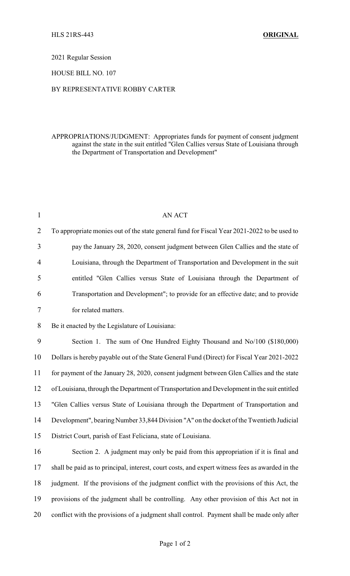2021 Regular Session

HOUSE BILL NO. 107

## BY REPRESENTATIVE ROBBY CARTER

## APPROPRIATIONS/JUDGMENT: Appropriates funds for payment of consent judgment against the state in the suit entitled "Glen Callies versus State of Louisiana through the Department of Transportation and Development"

| $\mathbf{1}$   | AN ACT                                                                                          |
|----------------|-------------------------------------------------------------------------------------------------|
| $\overline{2}$ | To appropriate monies out of the state general fund for Fiscal Year 2021-2022 to be used to     |
| 3              | pay the January 28, 2020, consent judgment between Glen Callies and the state of                |
| 4              | Louisiana, through the Department of Transportation and Development in the suit                 |
| 5              | entitled "Glen Callies versus State of Louisiana through the Department of                      |
| 6              | Transportation and Development"; to provide for an effective date; and to provide               |
| 7              | for related matters.                                                                            |
| 8              | Be it enacted by the Legislature of Louisiana:                                                  |
| 9              | Section 1. The sum of One Hundred Eighty Thousand and No/100 (\$180,000)                        |
| 10             | Dollars is hereby payable out of the State General Fund (Direct) for Fiscal Year 2021-2022      |
| 11             | for payment of the January 28, 2020, consent judgment between Glen Callies and the state        |
| 12             | of Louisiana, through the Department of Transportation and Development in the suit entitled     |
| 13             | "Glen Callies versus State of Louisiana through the Department of Transportation and            |
| 14             | Development", bearing Number 33,844 Division "A" on the docket of the Twentieth Judicial        |
| 15             | District Court, parish of East Feliciana, state of Louisiana.                                   |
| 16             | Section 2. A judgment may only be paid from this appropriation if it is final and               |
| 17             | shall be paid as to principal, interest, court costs, and expert witness fees as awarded in the |
| 18             | judgment. If the provisions of the judgment conflict with the provisions of this Act, the       |
| 19             | provisions of the judgment shall be controlling. Any other provision of this Act not in         |
| 20             | conflict with the provisions of a judgment shall control. Payment shall be made only after      |